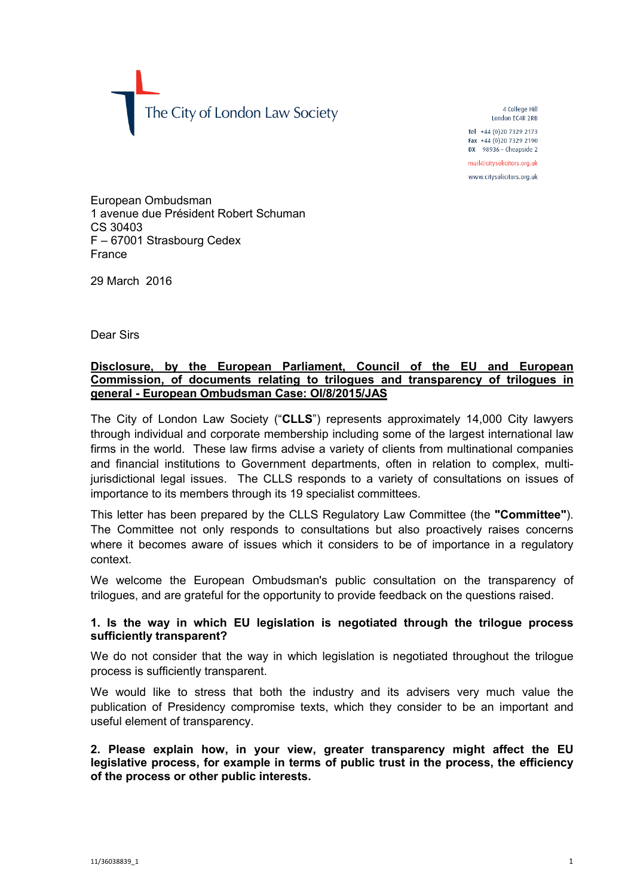The City of London Law Society

4 College Hill London FC4R 2RB

Tel +44 (0)20 7329 2173 Fax +44 (0)20 7329 2190 DX  $98936$  - Cheapside 2

mail@citysolicitors.org.uk

www.citysolicitors.org.uk

European Ombudsman 1 avenue due Président Robert Schuman CS 30403 F – 67001 Strasbourg Cedex France

29 March 2016

Dear Sirs

## **Disclosure, by the European Parliament, Council of the EU and European Commission, of documents relating to trilogues and transparency of trilogues in general - European Ombudsman Case: OI/8/2015/JAS**

The City of London Law Society ("**CLLS**") represents approximately 14,000 City lawyers through individual and corporate membership including some of the largest international law firms in the world. These law firms advise a variety of clients from multinational companies and financial institutions to Government departments, often in relation to complex, multijurisdictional legal issues. The CLLS responds to a variety of consultations on issues of importance to its members through its 19 specialist committees.

This letter has been prepared by the CLLS Regulatory Law Committee (the **"Committee"**). The Committee not only responds to consultations but also proactively raises concerns where it becomes aware of issues which it considers to be of importance in a regulatory context.

We welcome the European Ombudsman's public consultation on the transparency of trilogues, and are grateful for the opportunity to provide feedback on the questions raised.

# **1. Is the way in which EU legislation is negotiated through the trilogue process sufficiently transparent?**

We do not consider that the way in which legislation is negotiated throughout the trilogue process is sufficiently transparent.

We would like to stress that both the industry and its advisers very much value the publication of Presidency compromise texts, which they consider to be an important and useful element of transparency.

**2. Please explain how, in your view, greater transparency might affect the EU legislative process, for example in terms of public trust in the process, the efficiency of the process or other public interests.**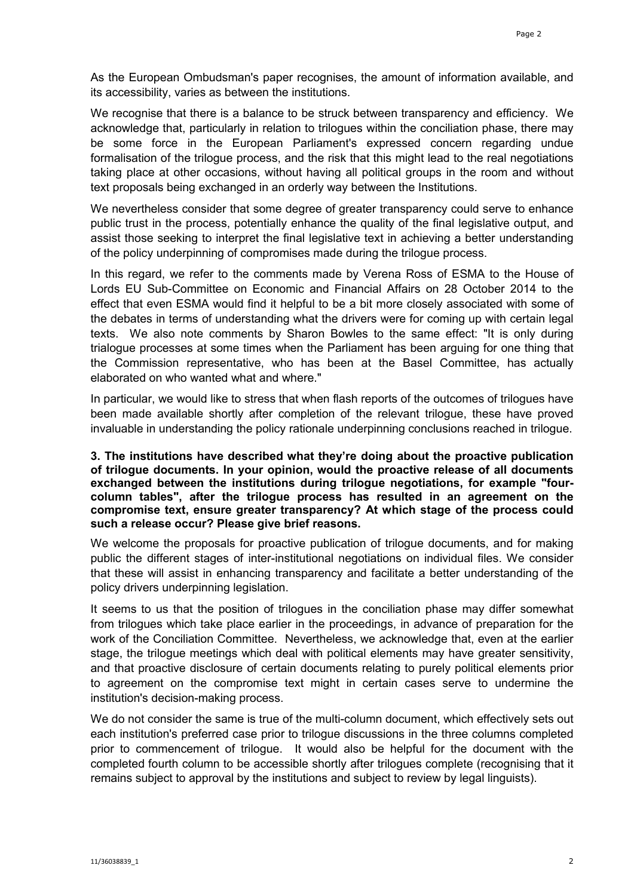As the European Ombudsman's paper recognises, the amount of information available, and its accessibility, varies as between the institutions.

We recognise that there is a balance to be struck between transparency and efficiency. We acknowledge that, particularly in relation to trilogues within the conciliation phase, there may be some force in the European Parliament's expressed concern regarding undue formalisation of the trilogue process, and the risk that this might lead to the real negotiations taking place at other occasions, without having all political groups in the room and without text proposals being exchanged in an orderly way between the Institutions.

We nevertheless consider that some degree of greater transparency could serve to enhance public trust in the process, potentially enhance the quality of the final legislative output, and assist those seeking to interpret the final legislative text in achieving a better understanding of the policy underpinning of compromises made during the trilogue process.

In this regard, we refer to the comments made by Verena Ross of ESMA to the House of Lords EU Sub-Committee on Economic and Financial Affairs on 28 October 2014 to the effect that even ESMA would find it helpful to be a bit more closely associated with some of the debates in terms of understanding what the drivers were for coming up with certain legal texts. We also note comments by Sharon Bowles to the same effect: "It is only during trialogue processes at some times when the Parliament has been arguing for one thing that the Commission representative, who has been at the Basel Committee, has actually elaborated on who wanted what and where."

In particular, we would like to stress that when flash reports of the outcomes of trilogues have been made available shortly after completion of the relevant trilogue, these have proved invaluable in understanding the policy rationale underpinning conclusions reached in trilogue.

#### **3. The institutions have described what they're doing about the proactive publication of trilogue documents. In your opinion, would the proactive release of all documents exchanged between the institutions during trilogue negotiations, for example "fourcolumn tables", after the trilogue process has resulted in an agreement on the compromise text, ensure greater transparency? At which stage of the process could such a release occur? Please give brief reasons.**

We welcome the proposals for proactive publication of trilogue documents, and for making public the different stages of inter-institutional negotiations on individual files. We consider that these will assist in enhancing transparency and facilitate a better understanding of the policy drivers underpinning legislation.

It seems to us that the position of trilogues in the conciliation phase may differ somewhat from trilogues which take place earlier in the proceedings, in advance of preparation for the work of the Conciliation Committee. Nevertheless, we acknowledge that, even at the earlier stage, the trilogue meetings which deal with political elements may have greater sensitivity, and that proactive disclosure of certain documents relating to purely political elements prior to agreement on the compromise text might in certain cases serve to undermine the institution's decision-making process.

We do not consider the same is true of the multi-column document, which effectively sets out each institution's preferred case prior to trilogue discussions in the three columns completed prior to commencement of trilogue. It would also be helpful for the document with the completed fourth column to be accessible shortly after trilogues complete (recognising that it remains subject to approval by the institutions and subject to review by legal linguists).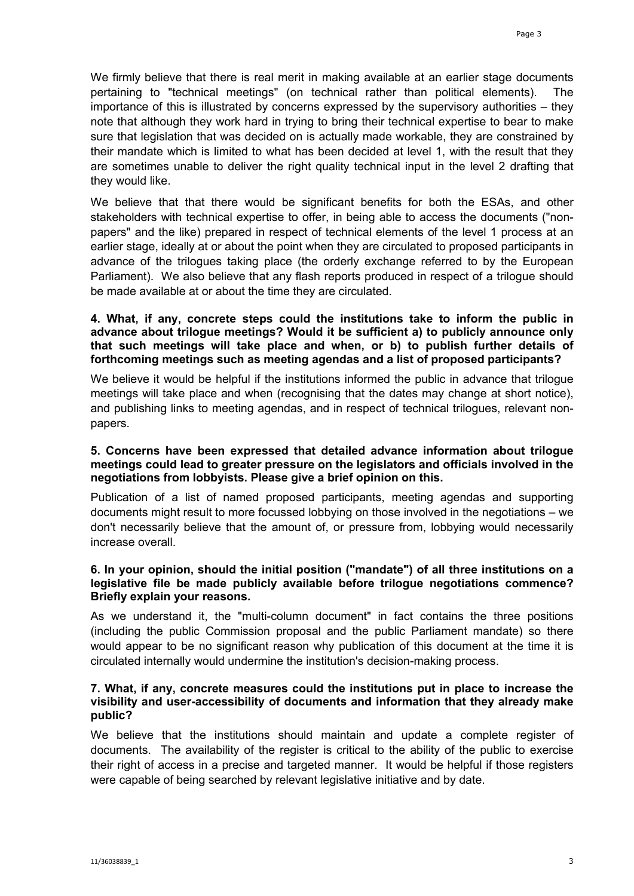We firmly believe that there is real merit in making available at an earlier stage documents pertaining to "technical meetings" (on technical rather than political elements). The importance of this is illustrated by concerns expressed by the supervisory authorities – they note that although they work hard in trying to bring their technical expertise to bear to make sure that legislation that was decided on is actually made workable, they are constrained by their mandate which is limited to what has been decided at level 1, with the result that they are sometimes unable to deliver the right quality technical input in the level 2 drafting that they would like.

We believe that that there would be significant benefits for both the ESAs, and other stakeholders with technical expertise to offer, in being able to access the documents ("nonpapers" and the like) prepared in respect of technical elements of the level 1 process at an earlier stage, ideally at or about the point when they are circulated to proposed participants in advance of the trilogues taking place (the orderly exchange referred to by the European Parliament). We also believe that any flash reports produced in respect of a trilogue should be made available at or about the time they are circulated.

## **4. What, if any, concrete steps could the institutions take to inform the public in advance about trilogue meetings? Would it be sufficient a) to publicly announce only that such meetings will take place and when, or b) to publish further details of forthcoming meetings such as meeting agendas and a list of proposed participants?**

We believe it would be helpful if the institutions informed the public in advance that trilogue meetings will take place and when (recognising that the dates may change at short notice), and publishing links to meeting agendas, and in respect of technical trilogues, relevant nonpapers.

#### **5. Concerns have been expressed that detailed advance information about trilogue meetings could lead to greater pressure on the legislators and officials involved in the negotiations from lobbyists. Please give a brief opinion on this.**

Publication of a list of named proposed participants, meeting agendas and supporting documents might result to more focussed lobbying on those involved in the negotiations – we don't necessarily believe that the amount of, or pressure from, lobbying would necessarily increase overall.

### **6. In your opinion, should the initial position ("mandate") of all three institutions on a legislative file be made publicly available before trilogue negotiations commence? Briefly explain your reasons.**

As we understand it, the "multi-column document" in fact contains the three positions (including the public Commission proposal and the public Parliament mandate) so there would appear to be no significant reason why publication of this document at the time it is circulated internally would undermine the institution's decision-making process.

### **7. What, if any, concrete measures could the institutions put in place to increase the visibility and user-accessibility of documents and information that they already make public?**

We believe that the institutions should maintain and update a complete register of documents. The availability of the register is critical to the ability of the public to exercise their right of access in a precise and targeted manner. It would be helpful if those registers were capable of being searched by relevant legislative initiative and by date.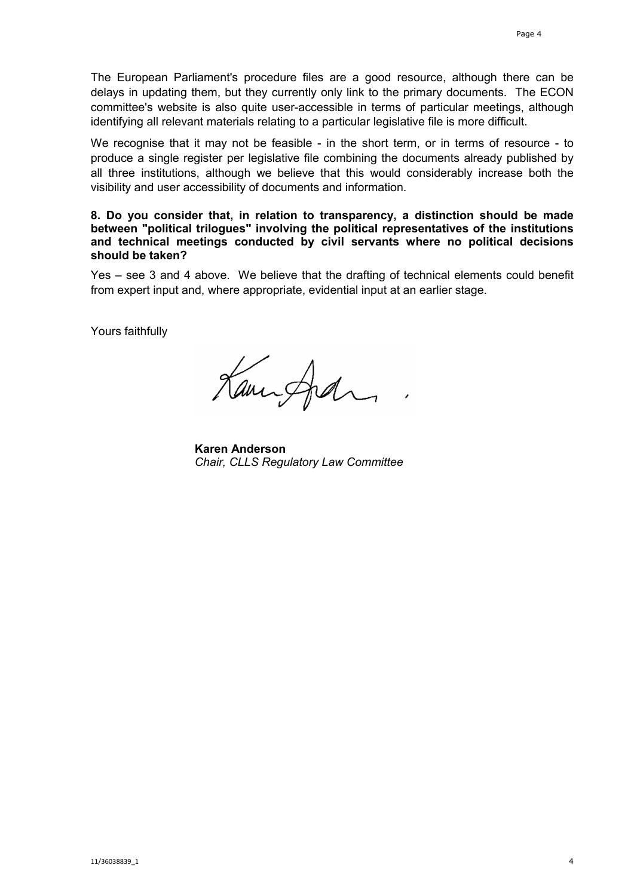The European Parliament's procedure files are a good resource, although there can be delays in updating them, but they currently only link to the primary documents. The ECON committee's website is also quite user-accessible in terms of particular meetings, although identifying all relevant materials relating to a particular legislative file is more difficult.

We recognise that it may not be feasible - in the short term, or in terms of resource - to produce a single register per legislative file combining the documents already published by all three institutions, although we believe that this would considerably increase both the visibility and user accessibility of documents and information.

**8. Do you consider that, in relation to transparency, a distinction should be made between "political trilogues" involving the political representatives of the institutions and technical meetings conducted by civil servants where no political decisions should be taken?** 

Yes – see 3 and 4 above. We believe that the drafting of technical elements could benefit from expert input and, where appropriate, evidential input at an earlier stage.

Yours faithfully

Kanisfedra

**Karen Anderson** *Chair, CLLS Regulatory Law Committee*